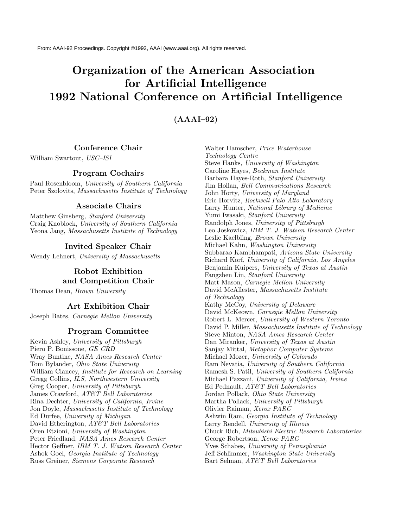# **Organization of the American Association for Artificial Intelligence 1992 National Conference on Artificial Intelligence**

**(AAAI–92)**

### **Conference Chair**

William Swartout, USC–ISI

## **Program Cochairs**

Paul Rosenbloom, University of Southern California Peter Szolovits, Massachusetts Institute of Technology

#### **Associate Chairs**

Matthew Ginsberg, Stanford University Craig Knoblock, University of Southern California Yeona Jang, Massachusetts Institute of Technology

#### **Invited Speaker Chair**

Wendy Lehnert, University of Massachusetts

## **Robot Exhibition and Competition Chair**

Thomas Dean, Brown University

#### **Art Exhibition Chair**

Joseph Bates, Carnegie Mellon University

#### **Program Committee**

Kevin Ashley, University of Pittsburgh Piero P. Bonissone, GE CRD Wray Buntine, NASA Ames Research Center Tom Bylander, Ohio State University William Clancey, Institute for Research on Learning Gregg Collins, ILS, Northwestern University Greg Cooper, University of Pittsburgh James Crawford, AT&T Bell Laboratories Rina Dechter, University of California, Irvine Jon Doyle, Massachusetts Institute of Technology Ed Durfee, University of Michigan David Etherington, AT&T Bell Laboratories Oren Etzioni, University of Washington Peter Friedland, NASA Ames Research Center Hector Geffner, IBM T. J. Watson Research Center Ashok Goel, Georgia Institute of Technology Russ Greiner, Siemens Corporate Research

Walter Hamscher, Price Waterhouse Technology Centre Steve Hanks, University of Washington Caroline Hayes, Beckman Institute Barbara Hayes-Roth, Stanford University Jim Hollan, Bell Communications Research John Horty, University of Maryland Eric Horvitz, Rockwell Palo Alto Laboratory Larry Hunter, National Library of Medicine Yumi Iwasaki, Stanford University Randolph Jones, University of Pittsburgh Leo Joskowicz, IBM T. J. Watson Research Center Leslie Kaelbling, Brown University Michael Kahn, Washington University Subbarao Kambhampati, Arizona State University Richard Korf, University of California, Los Angeles Benjamin Kuipers, University of Texas at Austin Fangzhen Lin, Stanford University Matt Mason, Carnegie Mellon University David McAllester, Massachusetts Institute of Technology Kathy McCoy, University of Delaware David McKeown, Carnegie Mellon University Robert L. Mercer, University of Western Toronto David P. Miller, Massachusetts Institute of Technology Steve Minton, NASA Ames Research Center Dan Miranker, University of Texas at Austin Sanjay Mittal, Metaphor Computer Systems Michael Mozer, University of Colorado Ram Nevatia, University of Southern California Ramesh S. Patil, University of Southern California Michael Pazzani, University of California, Irvine Ed Pednault, AT&T Bell Laboratories Jordan Pollack, Ohio State University Martha Pollack, University of Pittsburgh Olivier Raiman, Xerox PARC Ashwin Ram, Georgia Institute of Technology Larry Rendell, University of Illinois Chuck Rich, Mitsubishi Electric Research Laboratories George Robertson, Xerox PARC Yves Schabes, University of Pennsylvania Jeff Schlimmer, Washington State University Bart Selman, AT&T Bell Laboratories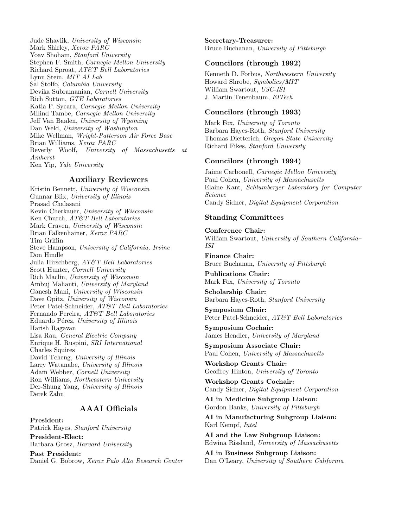Jude Shavlik, University of Wisconsin Mark Shirley, Xerox PARC Yoav Shoham, Stanford University Stephen F. Smith, Carnegie Mellon University Richard Sproat, AT&T Bell Laboratories Lynn Stein, MIT AI Lab Sal Stolfo, Columbia University Devika Subramanian, Cornell University Rich Sutton, GTE Laboratories Katia P. Sycara, Carnegie Mellon University Milind Tambe, Carnegie Mellon University Jeff Van Baalen, University of Wyoming Dan Weld, University of Washington Mike Wellman, Wright-Patterson Air Force Base Brian Williams, Xerox PARC Beverly Woolf, University of Massachusetts at Amherst Ken Yip, Yale University

#### **Auxiliary Reviewers**

Kristin Bennett, University of Wisconsin Gunnar Blix, University of Illinois Prasad Chalasani Kevin Cherkauer, University of Wisconsin Ken Church, AT&T Bell Laboratories Mark Craven, University of Wisconsin Brian Falkenhainer, Xerox PARC Tim Griffin Steve Hampson, University of California, Irvine Don Hindle Julia Hirschberg, AT&T Bell Laboratories Scott Hunter, Cornell University Rich Maclin, University of Wisconsin Ambuj Mahanti, University of Maryland Ganesh Mani, University of Wisconsin Dave Opitz, University of Wisconsin Peter Patel-Schneider, AT&T Bell Laboratories Fernando Pereira, AT&T Bell Laboratories Eduardo Pérez, University of Illinois Harish Ragavan Lisa Rau, General Electric Company Enrique H. Ruspini, SRI International Charles Squires David Tcheng, University of Illinois Larry Watanabe, University of Illinois Adam Webber, Cornell University Ron Williams, Northeastern University Der-Shung Yang, University of Illinois Derek Zahn

## **AAAI Officials**

**President:** Patrick Hayes, Stanford University **President-Elect:** Barbara Grosz, Harvard University

**Past President:** Daniel G. Bobrow, Xerox Palo Alto Research Center **Secretary-Treasurer:** Bruce Buchanan, University of Pittsburgh

#### **Councilors (through 1992)**

Kenneth D. Forbus, Northwestern University Howard Shrobe, Symbolics/MIT William Swartout, USC-ISI J. Martin Tenenbaum, EITech

#### **Councilors (through 1993)**

Mark Fox, University of Toronto Barbara Hayes-Roth, Stanford University Thomas Dietterich, Oregon State University Richard Fikes, Stanford University

## **Councilors (through 1994)**

Jaime Carbonell, Carnegie Mellon University Paul Cohen, University of Massachusetts Elaine Kant, Schlumberger Laboratory for Computer Science Candy Sidner, Digital Equipment Corporation

#### **Standing Committees**

**Conference Chair:** William Swartout, University of Southern California– ISI

**Finance Chair:** Bruce Buchanan, University of Pittsburgh

**Publications Chair:** Mark Fox, University of Toronto

**Scholarship Chair:** Barbara Hayes-Roth, Stanford University

**Symposium Chair:** Peter Patel-Schneider, AT&T Bell Laboratories

**Symposium Cochair:** James Hendler, University of Maryland

**Symposium Associate Chair:** Paul Cohen, University of Massachusetts

**Workshop Grants Chair:** Geoffrey Hinton, University of Toronto

**Workshop Grants Cochair:** Candy Sidner, Digital Equipment Corporation

**AI in Medicine Subgroup Liaison:** Gordon Banks, University of Pittsburgh

**AI in Manufacturing Subgroup Liaison:** Karl Kempf, Intel

**AI and the Law Subgroup Liaison:** Edwina Rissland, University of Massachusetts

**AI in Business Subgroup Liaison:** Dan O'Leary, University of Southern California